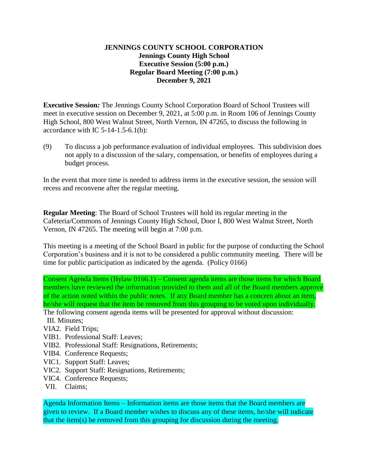## **JENNINGS COUNTY SCHOOL CORPORATION Jennings County High School Executive Session (5:00 p.m.) Regular Board Meeting (7:00 p.m.) December 9, 2021**

**Executive Session***:* The Jennings County School Corporation Board of School Trustees will meet in executive session on December 9, 2021, at 5:00 p.m. in Room 106 of Jennings County High School, 800 West Walnut Street, North Vernon, IN 47265, to discuss the following in accordance with IC  $5-14-1.5-6.1(b)$ :

(9) To discuss a job performance evaluation of individual employees. This subdivision does not apply to a discussion of the salary, compensation, or benefits of employees during a budget process.

In the event that more time is needed to address items in the executive session, the session will recess and reconvene after the regular meeting.

**Regular Meeting**: The Board of School Trustees will hold its regular meeting in the Cafeteria/Commons of Jennings County High School, Door I, 800 West Walnut Street, North Vernon, IN 47265. The meeting will begin at 7:00 p.m.

This meeting is a meeting of the School Board in public for the purpose of conducting the School Corporation's business and it is not to be considered a public community meeting. There will be time for public participation as indicated by the agenda. (Policy 0166)

Consent Agenda Items (Bylaw 0166.1) – Consent agenda items are those items for which Board members have reviewed the information provided to them and all of the Board members approve of the action noted within the public notes. If any Board member has a concern about an item, he/she will request that the item be removed from this grouping to be voted upon individually. The following consent agenda items will be presented for approval without discussion:

III. Minutes;

- VIA2. Field Trips;
- VIB1. Professional Staff: Leaves;
- VIB2. Professional Staff: Resignations, Retirements;
- VIB4. Conference Requests;
- VIC1. Support Staff: Leaves;
- VIC2. Support Staff: Resignations, Retirements;
- VIC4. Conference Requests;
- VII. Claims;

Agenda Information Items – Information items are those items that the Board members are given to review. If a Board member wishes to discuss any of these items, he/she will indicate that the item(s) be removed from this grouping for discussion during the meeting.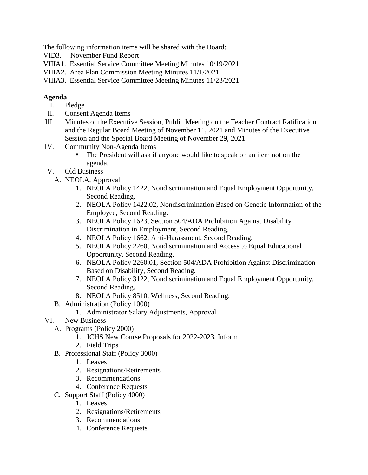The following information items will be shared with the Board:

- VID3. November Fund Report
- VIIIA1. Essential Service Committee Meeting Minutes 10/19/2021.
- VIIIA2. Area Plan Commission Meeting Minutes 11/1/2021.
- VIIIA3. Essential Service Committee Meeting Minutes 11/23/2021.

## **Agenda**

- I. Pledge
- II. Consent Agenda Items
- III. Minutes of the Executive Session, Public Meeting on the Teacher Contract Ratification and the Regular Board Meeting of November 11, 2021 and Minutes of the Executive Session and the Special Board Meeting of November 29, 2021.
- IV. Community Non-Agenda Items
	- The President will ask if anyone would like to speak on an item not on the agenda.
- V. Old Business
	- A. NEOLA, Approval
		- 1. NEOLA Policy 1422, Nondiscrimination and Equal Employment Opportunity, Second Reading.
		- 2. NEOLA Policy 1422.02, Nondiscrimination Based on Genetic Information of the Employee, Second Reading.
		- 3. NEOLA Policy 1623, Section 504/ADA Prohibition Against Disability Discrimination in Employment, Second Reading.
		- 4. NEOLA Policy 1662, Anti-Harassment, Second Reading.
		- 5. NEOLA Policy 2260, Nondiscrimination and Access to Equal Educational Opportunity, Second Reading.
		- 6. NEOLA Policy 2260.01, Section 504/ADA Prohibition Against Discrimination Based on Disability, Second Reading.
		- 7. NEOLA Policy 3122, Nondiscrimination and Equal Employment Opportunity, Second Reading.
		- 8. NEOLA Policy 8510, Wellness, Second Reading.
	- B. Administration (Policy 1000)
		- 1. Administrator Salary Adjustments, Approval
- VI. New Business
	- A. Programs (Policy 2000)
		- 1. JCHS New Course Proposals for 2022-2023, Inform
		- 2. Field Trips
	- B. Professional Staff (Policy 3000)
		- 1. Leaves
		- 2. Resignations/Retirements
		- 3. Recommendations
		- 4. Conference Requests
	- C. Support Staff (Policy 4000)
		- 1. Leaves
		- 2. Resignations/Retirements
		- 3. Recommendations
		- 4. Conference Requests